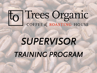# To Trees Organic

# *SUPERVISOR TRAINING PROGRAM*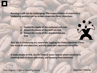**Running a café can be challenging. The responsibilities of anyone in a leadership position can be broken down into three objectives:**

- **1. Ensure the needs of the customers are met**
- **2. Ensure the needs of the staff are met**
- **3. Ensure the needs of the shareholders are met**

**Your job is a balancing act, essentially juggling the three objectives. Focus too much on one objective, and the other two objectives can suffer.**

**It looks simple at first, but let's take a closer look at what's involved in meeting each of these objectives, and keeping them balanced:**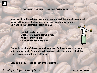#### **MEETING THE NEEDS OF THE CUSTOMER**

**Let's face it - without happy customers coming back for repeat visits, we'd be out of business. The business revolves around our customers. So what do our customers expect from us?**

> •**Fast & friendly service** •**Great tasting & safe coffee & food** •**Value for their dollars** •**Clean, comfortable facilities**

**People have a lot of choices when it comes to finding a place to go for a latte or have lunch. Your job is to help ensure when someone is deciding where to go, they will think of Trees!**

**Let's take a closer look at each of these items…**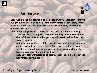# **Fast Service:**



**Let's face it: nobody likes standing in line for anything. Especially if they're hungry! We need to ensure we have the right compliment of staff, product availability, and sense of urgency to serve each and every customer as quickly as possible.**

**As a Supervisor, you want to make sure you take care of the following:**

•**Schedule breaks at appropriate times. Sending someone on a break when it's busy, or expected to get busy will certainly slow down the speed of service.**

•**At the beginning of every shift, check to make sure you have enough product available for the level of business expected. Check to make sure there's enough stocked items, clean dishes, and anything else that you need ready before it gets busy.**

•**Keep your staff motivated and hustling. Set the example, and set your expectations of your people.**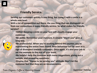# **Friendly Service:**

**Serving our customers quickly is one thing, but doing it with a smile is a whole new level.**

**With a lot of competition out there, the one thing that can distinguish us from our competitors is super friendly service. So what makes for friendly service?**

•**SMILE! Keeping a smile on your face will visually engage your customer.**

•**Be polite. Remember your manners. A sincere "thank you" goes a long way.**

•**Be professional. When you're working behind the counter, you're representing the entire Trees brand. Poor behaviour will be seen as a sign of disrespect towards customers. Once again, it's also your job to set the example to the rest of your team.**

•**Be helpful. Help the customer with menu suggestions, giving out a sample, and answering questions.**

•**Display that "Happy to be serving you" attitude. Don't let the customer feel that they are an inconvenience.**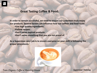

# **Great Tasting Coffee & Food:**

**In order to remain successful, we need to ensure our customers truly enjoy our products. Several factors can influence how our coffees and food taste:** •**Use high quality ingredients.** •**Follow recipes.**

- •**Don't serve expired products.**
- •**Don't serve something that you are not proud of.**

**As a Supervisor, your job is to ensure everyone on your shift is following the proper procedures.**

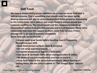# **Safe Food:**

**We have a responsibility to our customers to ensure we serve food that is safe to consume. This is something that should never be taken lightly. Making someone sick due to contaminated food items would be devastating to the entire chain. All it takes is one single incident and we would lose customer confidence. The result would cost the company hundreds of thousands of dollars from possible lawsuits and loss of business. Many other restaurants that have this happen to them never fully recover, if they manage not to go out of business completely. Some food safe basics include:**

**Always wash your hands before handling food & frequently throughout your shift.**

**Keep food contact surfaces clean & sanitized.**

**Do not serve expired products.**

**Complete temperature logs on a daily basis.**

**Use clean & sanitized cloths when wiping counters & tables.**

**Be aware of cross-contamination and how to avoid it.**

**Example 2 Keep food items at the correct temperatures. When heating or cooling items, the less time it spends in "The Danger Zone" reduces risk.**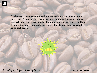**Food safety is becoming more and more prevalent in consumers' minds these days. People are more aware of how contamination occurs, and will watch closely how we are handling their food while we prepare it for them. If they get nervous, they might not say anything to you; they just won't come back again.**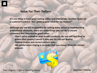

#### **Value For Their Dollars:**

**It's one thing to have great tasting coffee and cheesecake. Another factor on a customer's mind is "Am I getting good value for my money?"**

**Although you are not responsible for setting menu prices or implementing promotional discounts, there are some things you can do to ensure customers feel they receive good value:**

•**Don't serve expired or poor quality products. No one will feel they've gotten their money's worth if they pay for sub-par quality.** •**Follow recipes and correct portion sizes.** •**Be careful when ringing in an order that you charge them the correct amount.**

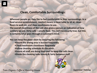

# **Clean, Comfortable Surroundings:**

**Wherever people go, they like to feel comfortable in their surroundings. In a food service establishment, comfort means a clean table to sit at, clean floors to walk on, and clean washrooms to use. The overall cleanliness of the café also gives a person an indication of how sanitary we are. Dirty café = unsafe food. This isn't necessarily true, but this is certainly what goes through a customer's mind.**

**You can keep the place clean by ensuring the following:** •**Ensure the dining area is bussed frequently** •**Check washroom cleanliness frequently** •**Follow cleaning schedules & checklists.** •**Ensure all staff are doing their part to keep the café clean.** •**Divide the cleaning tasks evenly & fairly between staff**

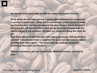**So now we have a good idea of what our customers expect from us.** 

**Think about the last time you had a memorable experience in a restaurant or perhaps a retail store. What did the person who served you do to make you feel this way? Did you recommend the place to your friends & family? Of course you did, because that's what we do when we're happy with the service we get in any situation. We want our customers doing the same for us!**

**Now think about the last time you had really poor service. Did you think to yourself "I would never treat a customer the way I was just treated. I won't be going back there again!" This is not what we want our customers thinking as they walk out the door…**

**Without customers, we have no business. Without business, we have no jobs.**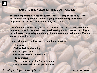# **ENSURE THE NEEDS OF THE STAFF ARE MET**

**The most important resource any business has is its employees. They are the heartbeat of the operation. Without a group of hardworking and honest employees, our business wouldn't be very successful.**

**One of the tougher parts of your job is to ensure that our staff feel cared for and motivated to work. Easier said than done! Bearing in mind that each employee has a different personality and slightly different needs, makes it more difficult to keep everyone happy.**

**Here's what most employees need from their superiors:**

- **Fair wages**
- **Fair & flexible scheduling**
- **To feel appreciated**
- **To be challenged & motivated**
- **To be trusted**
- **Receive proper training & development**
- **Regular feedback on their performance**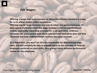## **Fair Wages:**

**Offering a wage that is comparable or above the industry standard is a way for us to attract better caliber employees.** 

**Offering regular wage increases is a way to retain our good employees. It's also a great motivator when the wage increase is tied to a performance review, essentially rewarding someone for a job well done. Arbitrary increases can cause unrest with those who perform well when they see that someone else who underperforms receives the same increase.**

**As a Supervisor, you won't be directly responsible for determining wage rates, but will certainly be able to provide input to the manager on how an employee performs on your shifts, thus giving a more detailed performance review for the employee.**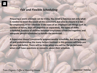# **Fair and Flexible Scheduling:**

**Preparing a work schedule can be tricky. You need to balance not only what is needed to meet the needs of the customers, but also to ensure it is fair for employees. A fair schedule in the eyes of an employee are things such as number of hours, days off (together or separated), the types of shifts scheduled, balance of abilities between employees scheduled together, and adequate people scheduled to handle the workload.**

**A Supervisor doesn't necessarily prepare weekly schedules, but being aware of and understanding the many factors involved in this process will help you do your job better. There will be times when you will be the go-between when staff have questions or concerns about their schedule.**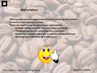# **Appreciation:**

**Making employees feel appreciated is vital to ensuring they remain productive and reducing turnover.**

**There are several ways to express your appreciation:** 

•**Verbally telling someone they have done a good job** •**Thanking a person for something they have done** •**Rewarding a person with a gift or monetary reward (bonus)** •**Working along side them and helping out**

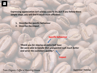**Expressing appreciation isn't always easy to do, but if you follow these simple steps, you will find it much more effective:**

- **1. Describe the specific behaviour**
- **2. Describe the impact**

**Specific behaviour**

*"thank you for staying an extra half hour. We were able to handle that unexpected rush much better and serve the customers quickly."*

**Impact**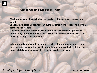# **Challenge and Motivate Them:**

**Most people enjoy being challenged regularly. It keeps them from getting bored.**

**Challenging a person doesn't mean dumping extra work or responsibility on someone's shoulders.** 

**When you challenge someone, the benefits are two-fold: you get better productivity, and the employee feel s a sense of accomplishment. This is just one way to keep them motivated.**

**When properly motivated, an employee will enjoy working for you. If they enjoy working for you, they will be more helpful and productive. If they are more helpful and productive, it will mean less stress for you!**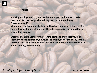# **Trust:**

**Showing employees that you trust them is important because it makes them feel like they can go about doing their job without being "micromanaged."**

**When someone is properly trained and has had clear expectations set for them, showing them that you trust them to accomplish the job will help ensure that they do.**

**Empowerment is another form of letting someone know that you trust them. Much like delegation, however the employee has the ability to think for themselves and come up with their own solutions. Empowerment also aids in forming accountability.**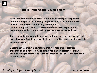# **Proper Training and Development:**

**Just like the foundation of a skyscraper must be strong to support the enormous weight of the building, proper training is the foundation that prevents an employee from failing in their job. Without adequate training, it becomes difficult to set expectations, maintain productivity, or maintain great customer service and food.**

**A well trained employee will be more confident, more productive, and help lower turnover. And if you have all of these conditions, once again, your job becomes easier.**

**Ongoing development is something that will help ensure staff are challenged and motivated. As an employee masters certain tasks and abilities, giving them more to learn will broaden their overall contribution to the business.**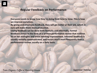# **Regular Feedback on Performance:**

**Everyone needs to know how they're doing from time to time. This is how we improve ourselves.**

**By giving and employee feedback, they will get better at their job, which in turn will make them more productive.**

**Giving feedback can be done both formally and informally. Formal feedback comes in the form of a written performance review that outlines his or her strengths and areas needing improvement. Informal feedback is usually verbally communicated, and occurs much more frequently than a performance review, usually on a daily basis.**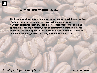# **Written Performance Review:**

**The frequency of written performance reviews can vary, but the more often it's done, the faster an employee improves their performance. A written performance review should be not just a method for outlining opportunities for improvement, but also celebrating what the employee does well. The overall performance outlined in a review is what's used to determine what wage increase, if any, the employee will receive.**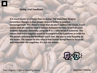#### **Giving Oral Feedback:**

**It is much easier to criticize than to praise. The important thing to remember, though, is that people respond better to positive encouragement. This doesn't mean that we don't address the issues, it just means that we need to have a balance between the two. It isn't an exact balance, however. Generally, using the 4 to 1 ratio keeps it balanced. This means that every negative must be accompanied by 4 positives in order for the person receiving the feedback not to feel like you're only focusing on the issues. The reason for this ratio is that human beings tend to focus on and remember the negatives. It's just our nature…**

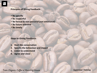#### **Principles of Giving Feedback:**

**Be specific Be respectful Be factual & non-personal (not emotional) Be future oriented Be timely**

**Steps to Giving Feedback:**

- **1. Start the conversation**
- **2. Specify the behaviour and impact**
- **3. Listen to understand**
- **4. Agree and close**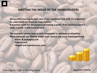# **MEETING THE NEEDS OF THE SHAREHOLDERS**

**Along with ensuring we take care of our customers and staff, it's important to understand our financial responsibility. A business exists for the purpose of making a profit. If the business doesn't make a profit, it will cease to exist.**

**The business owners entrust their employees to maintain profitability. Many expenses are directly within your control, the most important being:** •**Food & packaging cost** •**Labour cost** •**Repair and maintenance costs**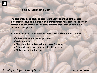

# **Food & Packaging Cost:**

**The cost of food and packaging represent about one third of the entire expenses we incur. This makes it an extremely important cost to keep under control. Just one percent of this translates into thousands of dollars over the course of a year !**

**So what can you do to help ensure these costs are kept under control?**

- **Follow recipes and proper portions**
- **Reduce waste**
- **Check supplier deliveries for accuracy & quality**
- **Ensure all orders get rung into the till correctly**
- **Make sure no theft occurs**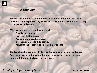# **Labour Cost:**

**The cost of labour used to run the business represents about another 30 percent of total expenses. So just like food cost, it's vitally important to keep this expense under control.**

**Effective labour cost control happens with:** •**Effective scheduling** •**Lowering staff turnover** •**Avoiding using overtime hours** •**Increasing employee productivity** •**Adjusting the schedule as sales volumes change**

**The last three items are particularly within your control on a regular basis. Reacting to slower sales by sending staff home early is one of the most important financial decisions you can make.**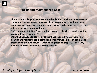# **Repair and Maintenance Cost:**

**Although not as large an expense as food or labour, repair and maintenance costs are still something to be aware of and keep under control. We have many expensive pieces of equipment and fixtures in the store, and it can be quite expensive to maintain them.**

**You're probably thinking "How can I save repair costs when I don't have the ability to fix a refrigerator?"**

**Well, the best way you can help reduce these costs is by ensuring regular cleaning and maintenance is being done. Many times a piece of equipment breaks down simply because it wasn't being cleaned properly. This is why we need to habitually follow cleaning checklists.**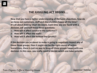# **THE JUGGLING ACT BEGINS….**

**Now that you have a better understanding of the basic objectives, how do we keep our customers, staff and shareholders happy all the time? It's all about making smart decisions. Each time you are faced with a decision, ask yourself these three questions:**

- **1. How will it affect service to the customer?**
- **2. How will it affect the staff?**
- **3. How will it affect the bottom line (profit)?**

**If the decision you're about to make is going to negatively impact any of these three groups, then it might not be the right course of action. Sometimes, there is just no way to keep all three groups happy with one decision. In this case, you really need to decide which one takes priority.**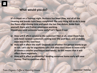

# **What would you do?**

**It's 8:00pm on a Tuesday night. Business has been slow, and all of the cleaning and breaks have been completed. The only thing left to do is mop the floors after closing time and wash the last few dishes. Aside from yourself, there are 2 other employees working. Should you send someone home early? Let's figure it out.**

- **a) How will it affect service to the customer? Not at all, since there have only been random customers coming over the past hour, and probably even less in the next hour.**
- **b) How will it affect the staff? Depends on whether the person wants to go or not. Let's say for arguments sake that they don't want to leave early (it means a smaller paycheque next week). So this means that it will affect them negatively.**
- **c) How will it affect profitability? Sending someone home early will save money. That is a positive effect.**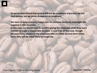**So we've determined that service will not be negatively impacted, we will save money, but we could disappoint an employee.**

**We want to keep everyone happy, but the positive obviously outweighs the negative in this situation.**

**In this case, we would have to sacrifice giving the employee what they want in order to make a responsible decision. It won't be all that bad, though, because if you explain to the employee why you have to send them home early, they will be more likely to cooperate.**